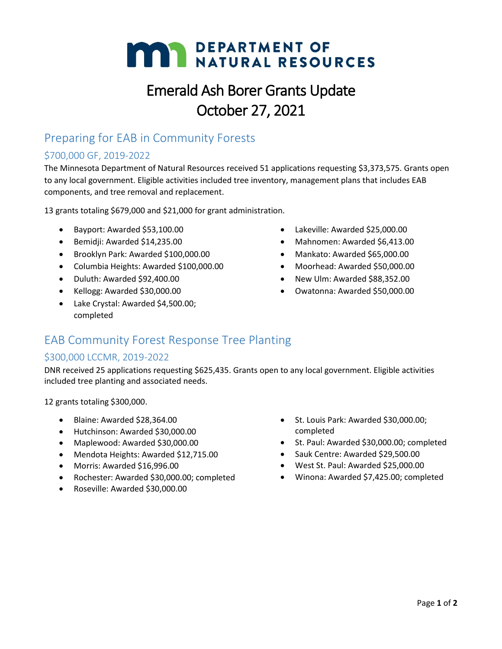# m, DEPARTMENT OF NATURAL RESOURCES

## Emerald Ash Borer Grants Update October 27, 2021

### Preparing for EAB in Community Forests

### \$700,000 GF, 2019-2022

The Minnesota Department of Natural Resources received 51 applications requesting \$3,373,575. Grants open to any local government. Eligible activities included tree inventory, management plans that includes EAB components, and tree removal and replacement.

13 grants totaling \$679,000 and \$21,000 for grant administration.

- Bayport: Awarded \$53,100.00
- Bemidji: Awarded \$14,235.00
- Brooklyn Park: Awarded \$100,000.00
- Columbia Heights: Awarded \$100,000.00
- Duluth: Awarded \$92,400.00
- Kellogg: Awarded \$30,000.00
- Lake Crystal: Awarded \$4,500.00; completed
- Lakeville: Awarded \$25,000.00
- Mahnomen: Awarded \$6,413.00
- Mankato: Awarded \$65,000.00
- Moorhead: Awarded \$50,000.00
- New Ulm: Awarded \$88,352.00
- Owatonna: Awarded \$50,000.00

## EAB Community Forest Response Tree Planting

#### \$300,000 LCCMR, 2019-2022

DNR received 25 applications requesting \$625,435. Grants open to any local government. Eligible activities included tree planting and associated needs.

12 grants totaling \$300,000.

- Blaine: Awarded \$28,364.00
- Hutchinson: Awarded \$30,000.00
- Maplewood: Awarded \$30,000.00
- Mendota Heights: Awarded \$12,715.00
- Morris: Awarded \$16,996.00
- Rochester: Awarded \$30,000.00; completed
- Roseville: Awarded \$30,000.00
- St. Louis Park: Awarded \$30,000.00; completed
- St. Paul: Awarded \$30,000.00; completed
- Sauk Centre: Awarded \$29,500.00
- West St. Paul: Awarded \$25,000.00
- Winona: Awarded \$7,425.00; completed